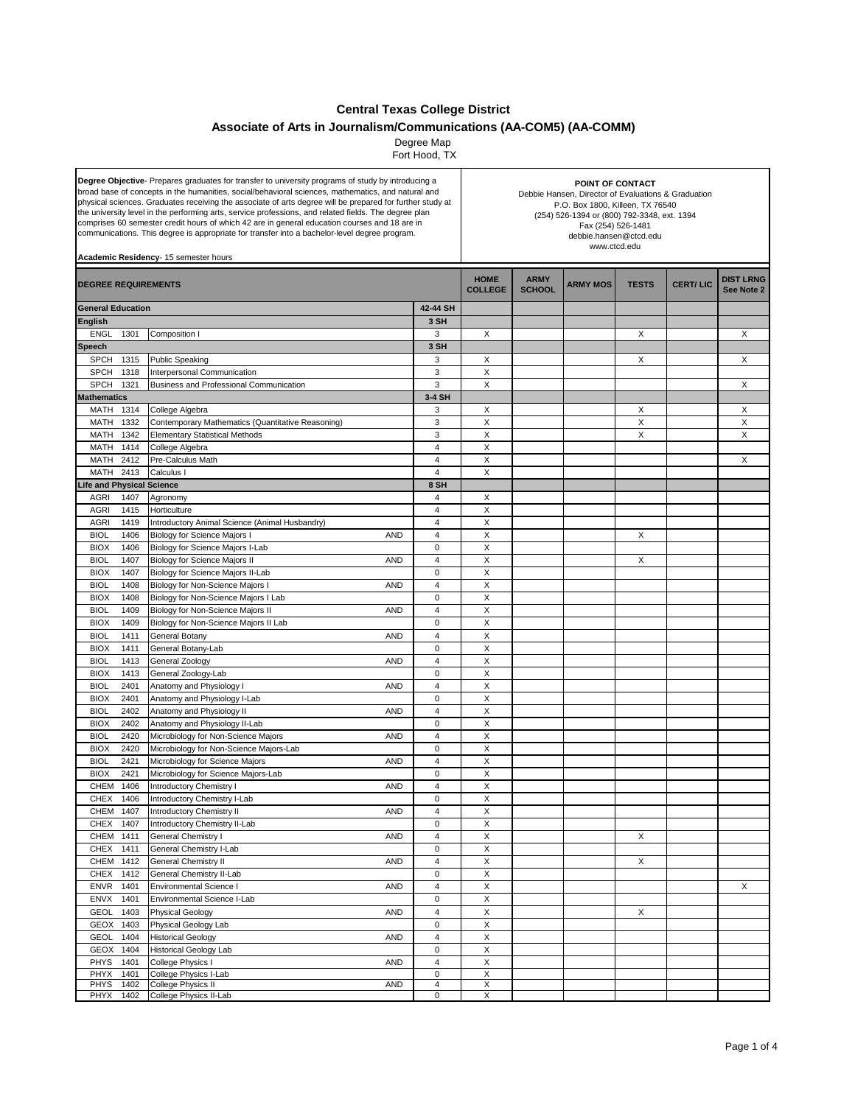## **Central Texas College District**

## **Associate of Arts in Journalism/Communications (AA-COM5) (AA-COMM)**

Degree Map

Fort Hood, TX

| Degree Objective- Prepares graduates for transfer to university programs of study by introducing a<br>broad base of concepts in the humanities, social/behavioral sciences, mathematics, and natural and<br>physical sciences. Graduates receiving the associate of arts degree will be prepared for further study at<br>the university level in the performing arts, service professions, and related fields. The degree plan<br>comprises 60 semester credit hours of which 42 are in general education courses and 18 are in<br>communications. This degree is appropriate for transfer into a bachelor-level degree program.<br>Academic Residency- 15 semester hours |                                                                                      |                        | POINT OF CONTACT<br>Debbie Hansen, Director of Evaluations & Graduation<br>P.O. Box 1800, Killeen, TX 76540<br>(254) 526-1394 or (800) 792-3348, ext. 1394<br>Fax (254) 526-1481<br>debbie.hansen@ctcd.edu<br>www.ctcd.edu |                              |                 |              |                 |                                |
|---------------------------------------------------------------------------------------------------------------------------------------------------------------------------------------------------------------------------------------------------------------------------------------------------------------------------------------------------------------------------------------------------------------------------------------------------------------------------------------------------------------------------------------------------------------------------------------------------------------------------------------------------------------------------|--------------------------------------------------------------------------------------|------------------------|----------------------------------------------------------------------------------------------------------------------------------------------------------------------------------------------------------------------------|------------------------------|-----------------|--------------|-----------------|--------------------------------|
| <b>DEGREE REQUIREMENTS</b>                                                                                                                                                                                                                                                                                                                                                                                                                                                                                                                                                                                                                                                |                                                                                      |                        | <b>HOME</b><br><b>COLLEGE</b>                                                                                                                                                                                              | <b>ARMY</b><br><b>SCHOOL</b> | <b>ARMY MOS</b> | <b>TESTS</b> | <b>CERT/LIC</b> | <b>DIST LRNG</b><br>See Note 2 |
| <b>General Education</b>                                                                                                                                                                                                                                                                                                                                                                                                                                                                                                                                                                                                                                                  |                                                                                      | 42-44 SH               |                                                                                                                                                                                                                            |                              |                 |              |                 |                                |
| <b>English</b>                                                                                                                                                                                                                                                                                                                                                                                                                                                                                                                                                                                                                                                            |                                                                                      | 3 SH                   |                                                                                                                                                                                                                            |                              |                 |              |                 |                                |
| <b>ENGL</b><br>1301                                                                                                                                                                                                                                                                                                                                                                                                                                                                                                                                                                                                                                                       | Composition I                                                                        | 3                      | X                                                                                                                                                                                                                          |                              |                 | X            |                 | Χ                              |
| <b>Speech</b>                                                                                                                                                                                                                                                                                                                                                                                                                                                                                                                                                                                                                                                             |                                                                                      | 3 SH                   |                                                                                                                                                                                                                            |                              |                 |              |                 |                                |
| 1315<br>SPCH                                                                                                                                                                                                                                                                                                                                                                                                                                                                                                                                                                                                                                                              | <b>Public Speaking</b>                                                               | 3                      | Х                                                                                                                                                                                                                          |                              |                 | X            |                 | X                              |
| <b>SPCH</b><br>1318                                                                                                                                                                                                                                                                                                                                                                                                                                                                                                                                                                                                                                                       | Interpersonal Communication                                                          | 3                      | X                                                                                                                                                                                                                          |                              |                 |              |                 |                                |
| SPCH<br>1321                                                                                                                                                                                                                                                                                                                                                                                                                                                                                                                                                                                                                                                              | <b>Business and Professional Communication</b>                                       | 3                      | X                                                                                                                                                                                                                          |                              |                 |              |                 | X                              |
| <b>Mathematics</b>                                                                                                                                                                                                                                                                                                                                                                                                                                                                                                                                                                                                                                                        |                                                                                      | 3-4 SH                 |                                                                                                                                                                                                                            |                              |                 |              |                 |                                |
| MATH 1314                                                                                                                                                                                                                                                                                                                                                                                                                                                                                                                                                                                                                                                                 | College Algebra                                                                      | 3                      | X                                                                                                                                                                                                                          |                              |                 | X            |                 | Х                              |
| <b>MATH</b><br>1332                                                                                                                                                                                                                                                                                                                                                                                                                                                                                                                                                                                                                                                       | Contemporary Mathematics (Quantitative Reasoning)                                    | 3                      | X                                                                                                                                                                                                                          |                              |                 | X            |                 | X                              |
| <b>MATH</b><br>1342                                                                                                                                                                                                                                                                                                                                                                                                                                                                                                                                                                                                                                                       | <b>Elementary Statistical Methods</b>                                                | 3                      | X                                                                                                                                                                                                                          |                              |                 | X            |                 | X                              |
| <b>MATH</b><br>1414                                                                                                                                                                                                                                                                                                                                                                                                                                                                                                                                                                                                                                                       | College Algebra                                                                      | $\overline{4}$         | X                                                                                                                                                                                                                          |                              |                 |              |                 |                                |
| MATH<br>2412                                                                                                                                                                                                                                                                                                                                                                                                                                                                                                                                                                                                                                                              | Pre-Calculus Math                                                                    | 4                      | X<br>$\times$                                                                                                                                                                                                              |                              |                 |              |                 | Χ                              |
| MATH<br>2413                                                                                                                                                                                                                                                                                                                                                                                                                                                                                                                                                                                                                                                              | Calculus I                                                                           | $\overline{4}$<br>8 SH |                                                                                                                                                                                                                            |                              |                 |              |                 |                                |
| Life and Physical Science<br><b>AGRI</b><br>1407                                                                                                                                                                                                                                                                                                                                                                                                                                                                                                                                                                                                                          | Agronomy                                                                             | 4                      | X                                                                                                                                                                                                                          |                              |                 |              |                 |                                |
| <b>AGRI</b><br>1415                                                                                                                                                                                                                                                                                                                                                                                                                                                                                                                                                                                                                                                       | Horticulture                                                                         | 4                      | X                                                                                                                                                                                                                          |                              |                 |              |                 |                                |
| <b>AGRI</b><br>1419                                                                                                                                                                                                                                                                                                                                                                                                                                                                                                                                                                                                                                                       | Introductory Animal Science (Animal Husbandry)                                       | $\overline{4}$         | X                                                                                                                                                                                                                          |                              |                 |              |                 |                                |
| <b>BIOL</b><br>1406                                                                                                                                                                                                                                                                                                                                                                                                                                                                                                                                                                                                                                                       | <b>Biology for Science Majors</b><br><b>AND</b>                                      | 4                      | X                                                                                                                                                                                                                          |                              |                 | X            |                 |                                |
| <b>BIOX</b><br>1406                                                                                                                                                                                                                                                                                                                                                                                                                                                                                                                                                                                                                                                       | Biology for Science Majors I-Lab                                                     | $\mathsf 0$            | X                                                                                                                                                                                                                          |                              |                 |              |                 |                                |
| <b>BIOL</b><br>1407                                                                                                                                                                                                                                                                                                                                                                                                                                                                                                                                                                                                                                                       | <b>Biology for Science Majors II</b><br><b>AND</b>                                   | $\overline{4}$         | X                                                                                                                                                                                                                          |                              |                 | X            |                 |                                |
| <b>BIOX</b><br>1407                                                                                                                                                                                                                                                                                                                                                                                                                                                                                                                                                                                                                                                       | Biology for Science Majors II-Lab                                                    | $\mathbf 0$            | X                                                                                                                                                                                                                          |                              |                 |              |                 |                                |
| <b>BIOL</b><br>1408                                                                                                                                                                                                                                                                                                                                                                                                                                                                                                                                                                                                                                                       | Biology for Non-Science Majors<br><b>AND</b>                                         | 4                      | X                                                                                                                                                                                                                          |                              |                 |              |                 |                                |
| <b>BIOX</b><br>1408                                                                                                                                                                                                                                                                                                                                                                                                                                                                                                                                                                                                                                                       | Biology for Non-Science Majors I Lab                                                 | $\mathsf 0$            | X                                                                                                                                                                                                                          |                              |                 |              |                 |                                |
| <b>BIOL</b><br>1409                                                                                                                                                                                                                                                                                                                                                                                                                                                                                                                                                                                                                                                       | Biology for Non-Science Majors II<br><b>AND</b>                                      | $\overline{4}$         | X                                                                                                                                                                                                                          |                              |                 |              |                 |                                |
| <b>BIOX</b><br>1409                                                                                                                                                                                                                                                                                                                                                                                                                                                                                                                                                                                                                                                       | Biology for Non-Science Majors II Lab                                                | $\mathbf 0$            | X                                                                                                                                                                                                                          |                              |                 |              |                 |                                |
| <b>BIOL</b><br>1411                                                                                                                                                                                                                                                                                                                                                                                                                                                                                                                                                                                                                                                       | General Botany<br><b>AND</b>                                                         | 4                      | X                                                                                                                                                                                                                          |                              |                 |              |                 |                                |
| <b>BIOX</b><br>1411                                                                                                                                                                                                                                                                                                                                                                                                                                                                                                                                                                                                                                                       | General Botany-Lab                                                                   | $\mathsf 0$            | X                                                                                                                                                                                                                          |                              |                 |              |                 |                                |
| <b>BIOL</b><br>1413                                                                                                                                                                                                                                                                                                                                                                                                                                                                                                                                                                                                                                                       | General Zoology<br><b>AND</b>                                                        | $\overline{4}$         | X                                                                                                                                                                                                                          |                              |                 |              |                 |                                |
| <b>BIOX</b><br>1413                                                                                                                                                                                                                                                                                                                                                                                                                                                                                                                                                                                                                                                       | General Zoology-Lab                                                                  | $\mathbf 0$            | X                                                                                                                                                                                                                          |                              |                 |              |                 |                                |
| <b>BIOL</b><br>2401                                                                                                                                                                                                                                                                                                                                                                                                                                                                                                                                                                                                                                                       | Anatomy and Physiology I<br><b>AND</b>                                               | $\overline{4}$         | X                                                                                                                                                                                                                          |                              |                 |              |                 |                                |
| <b>BIOX</b><br>2401                                                                                                                                                                                                                                                                                                                                                                                                                                                                                                                                                                                                                                                       | Anatomy and Physiology I-Lab                                                         | $\mathsf 0$            | X                                                                                                                                                                                                                          |                              |                 |              |                 |                                |
| <b>BIOL</b><br>2402                                                                                                                                                                                                                                                                                                                                                                                                                                                                                                                                                                                                                                                       | Anatomy and Physiology II<br><b>AND</b>                                              | $\overline{4}$         | X                                                                                                                                                                                                                          |                              |                 |              |                 |                                |
| <b>BIOX</b><br>2402                                                                                                                                                                                                                                                                                                                                                                                                                                                                                                                                                                                                                                                       | Anatomy and Physiology II-Lab                                                        | $\mathbf 0$            | X                                                                                                                                                                                                                          |                              |                 |              |                 |                                |
| <b>BIOL</b><br>2420                                                                                                                                                                                                                                                                                                                                                                                                                                                                                                                                                                                                                                                       | Microbiology for Non-Science Majors<br><b>AND</b>                                    | $\overline{4}$         | X                                                                                                                                                                                                                          |                              |                 |              |                 |                                |
| <b>BIOX</b><br>2420                                                                                                                                                                                                                                                                                                                                                                                                                                                                                                                                                                                                                                                       | Microbiology for Non-Science Majors-Lab                                              | $\mathsf 0$            | X                                                                                                                                                                                                                          |                              |                 |              |                 |                                |
| <b>BIOL</b><br>2421<br><b>BIOX</b><br>2421                                                                                                                                                                                                                                                                                                                                                                                                                                                                                                                                                                                                                                | Microbiology for Science Majors<br><b>AND</b>                                        | 4<br>$\mathsf 0$       | X<br>X                                                                                                                                                                                                                     |                              |                 |              |                 |                                |
| CHEM<br>1406                                                                                                                                                                                                                                                                                                                                                                                                                                                                                                                                                                                                                                                              | Microbiology for Science Majors-Lab<br><b>Introductory Chemistry I</b><br><b>AND</b> | 4                      | X                                                                                                                                                                                                                          |                              |                 |              |                 |                                |
| CHEX 1406                                                                                                                                                                                                                                                                                                                                                                                                                                                                                                                                                                                                                                                                 | Introductory Chemistry I-Lab                                                         | $\pmb{0}$              | X                                                                                                                                                                                                                          |                              |                 |              |                 |                                |
| CHEM<br>1407                                                                                                                                                                                                                                                                                                                                                                                                                                                                                                                                                                                                                                                              | Introductory Chemistry II<br><b>AND</b>                                              | $\overline{4}$         | X                                                                                                                                                                                                                          |                              |                 |              |                 |                                |
| <b>CHEX</b><br>1407                                                                                                                                                                                                                                                                                                                                                                                                                                                                                                                                                                                                                                                       | Introductory Chemistry II-Lab                                                        | $\pmb{0}$              | X                                                                                                                                                                                                                          |                              |                 |              |                 |                                |
| CHEM 1411                                                                                                                                                                                                                                                                                                                                                                                                                                                                                                                                                                                                                                                                 | General Chemistry I<br><b>AND</b>                                                    | $\overline{4}$         | X                                                                                                                                                                                                                          |                              |                 | X            |                 |                                |
| <b>CHEX</b><br>1411                                                                                                                                                                                                                                                                                                                                                                                                                                                                                                                                                                                                                                                       | General Chemistry I-Lab                                                              | $\mathsf 0$            | X                                                                                                                                                                                                                          |                              |                 |              |                 |                                |
| CHEM<br>1412                                                                                                                                                                                                                                                                                                                                                                                                                                                                                                                                                                                                                                                              | <b>General Chemistry II</b><br><b>AND</b>                                            | $\overline{4}$         | X                                                                                                                                                                                                                          |                              |                 | X            |                 |                                |
| <b>CHEX</b><br>1412                                                                                                                                                                                                                                                                                                                                                                                                                                                                                                                                                                                                                                                       | General Chemistry II-Lab                                                             | $\mathsf 0$            | X                                                                                                                                                                                                                          |                              |                 |              |                 |                                |
| <b>ENVR</b><br>1401                                                                                                                                                                                                                                                                                                                                                                                                                                                                                                                                                                                                                                                       | <b>Environmental Science I</b><br><b>AND</b>                                         | $\overline{4}$         | X                                                                                                                                                                                                                          |                              |                 |              |                 | X                              |
| ENVX<br>1401                                                                                                                                                                                                                                                                                                                                                                                                                                                                                                                                                                                                                                                              | Environmental Science I-Lab                                                          | $\mathsf 0$            | X                                                                                                                                                                                                                          |                              |                 |              |                 |                                |
| <b>GEOL</b><br>1403                                                                                                                                                                                                                                                                                                                                                                                                                                                                                                                                                                                                                                                       | <b>Physical Geology</b><br><b>AND</b>                                                | $\overline{4}$         | X                                                                                                                                                                                                                          |                              |                 | X            |                 |                                |
| <b>GEOX</b><br>1403                                                                                                                                                                                                                                                                                                                                                                                                                                                                                                                                                                                                                                                       | Physical Geology Lab                                                                 | $\mathsf 0$            | $\mathsf X$                                                                                                                                                                                                                |                              |                 |              |                 |                                |
| <b>GEOL</b><br>1404                                                                                                                                                                                                                                                                                                                                                                                                                                                                                                                                                                                                                                                       | <b>Historical Geology</b><br><b>AND</b>                                              | $\overline{4}$         | X                                                                                                                                                                                                                          |                              |                 |              |                 |                                |
| <b>GEOX</b><br>1404                                                                                                                                                                                                                                                                                                                                                                                                                                                                                                                                                                                                                                                       | <b>Historical Geology Lab</b>                                                        | $\mathsf 0$            | X                                                                                                                                                                                                                          |                              |                 |              |                 |                                |
| <b>PHYS</b><br>1401                                                                                                                                                                                                                                                                                                                                                                                                                                                                                                                                                                                                                                                       | College Physics I<br><b>AND</b>                                                      | $\overline{4}$         | X                                                                                                                                                                                                                          |                              |                 |              |                 |                                |
| PHYX<br>1401                                                                                                                                                                                                                                                                                                                                                                                                                                                                                                                                                                                                                                                              | College Physics I-Lab                                                                | $\mathsf 0$            | X                                                                                                                                                                                                                          |                              |                 |              |                 |                                |
| <b>PHYS</b><br>1402                                                                                                                                                                                                                                                                                                                                                                                                                                                                                                                                                                                                                                                       | College Physics II<br>AND                                                            | 4                      | X                                                                                                                                                                                                                          |                              |                 |              |                 |                                |
| PHYX<br>1402                                                                                                                                                                                                                                                                                                                                                                                                                                                                                                                                                                                                                                                              | College Physics II-Lab                                                               | $\mathsf 0$            | X                                                                                                                                                                                                                          |                              |                 |              |                 |                                |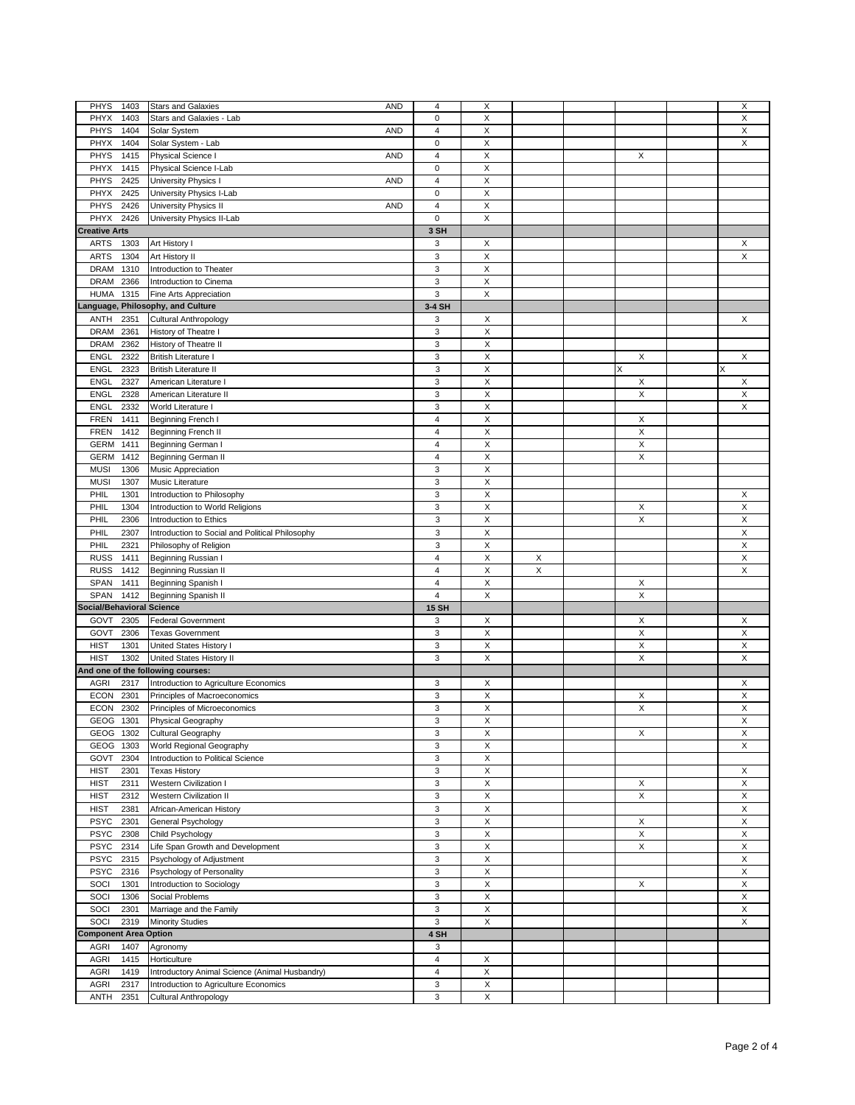| <b>PHYS</b><br>1403               | <b>Stars and Galaxies</b><br><b>AND</b>         | 4            | X                         |             |             | X           |
|-----------------------------------|-------------------------------------------------|--------------|---------------------------|-------------|-------------|-------------|
| PHYX<br>1403                      | Stars and Galaxies - Lab                        | 0            | X                         |             |             | X           |
|                                   |                                                 |              |                           |             |             |             |
| <b>PHYS</b><br>1404               | Solar System<br><b>AND</b>                      | 4            | X                         |             |             | X           |
| PHYX<br>1404                      | Solar System - Lab                              | 0            | X                         |             |             | $\mathsf X$ |
| PHYS<br>1415                      | Physical Science I<br><b>AND</b>                | 4            | X                         |             | X           |             |
| PHYX<br>1415                      | Physical Science I-Lab                          | 0            | X                         |             |             |             |
| PHYS<br>2425                      | University Physics I<br><b>AND</b>              | 4            | X                         |             |             |             |
|                                   |                                                 | 0            |                           |             |             |             |
| PHYX<br>2425                      | University Physics I-Lab                        |              | X                         |             |             |             |
| PHYS<br>2426                      | University Physics II<br><b>AND</b>             | 4            | X                         |             |             |             |
| PHYX<br>2426                      | University Physics II-Lab                       | 0            | X                         |             |             |             |
| <b>Creative Arts</b>              |                                                 | 3 SH         |                           |             |             |             |
| <b>ARTS</b><br>1303               | Art History I                                   | 3            | X                         |             |             | X           |
|                                   |                                                 |              |                           |             |             |             |
| <b>ARTS</b><br>1304               | Art History II                                  | 3            | X                         |             |             | X           |
| <b>DRAM</b><br>1310               | Introduction to Theater                         | 3            | X                         |             |             |             |
| <b>DRAM</b><br>2366               | Introduction to Cinema                          | 3            | X                         |             |             |             |
| <b>HUMA</b><br>1315               | Fine Arts Appreciation                          | 3            | X                         |             |             |             |
|                                   |                                                 |              |                           |             |             |             |
|                                   | anguage, Philosophy, and Culture                | 3-4 SH       |                           |             |             |             |
| ANTH<br>2351                      | <b>Cultural Anthropology</b>                    | 3            | X                         |             |             | X           |
| <b>DRAM</b><br>2361               | History of Theatre I                            | 3            | X                         |             |             |             |
| <b>DRAM</b><br>2362               | History of Theatre II                           | 3            | X                         |             |             |             |
|                                   |                                                 |              |                           |             |             |             |
| <b>ENGL</b><br>2322               | <b>British Literature I</b>                     | 3            | X                         |             | X           | X           |
| <b>ENGL</b><br>2323               | <b>British Literature II</b>                    | 3            | $\boldsymbol{\mathsf{X}}$ |             | X           | Χ           |
| <b>ENGL</b><br>2327               | American Literature I                           | 3            | X                         |             | X           | X           |
| <b>ENGL</b><br>2328               | American Literature II                          | 3            | X                         |             | Χ           | Χ           |
| ENGL<br>2332                      | World Literature I                              | 3            | X                         |             |             | X           |
|                                   |                                                 |              |                           |             |             |             |
| <b>FREN</b><br>1411               | <b>Beginning French I</b>                       | 4            | $\boldsymbol{\mathsf{X}}$ |             | X           |             |
| <b>FREN</b><br>1412               | <b>Beginning French II</b>                      | 4            | X                         |             | X           |             |
| GERM<br>1411                      | Beginning German I                              | 4            | X                         |             | X           |             |
| GERM<br>1412                      | Beginning German II                             | 4            | X                         |             | X           |             |
|                                   |                                                 |              |                           |             |             |             |
| <b>MUSI</b><br>1306               | Music Appreciation                              | 3            | $\boldsymbol{\mathsf{X}}$ |             |             |             |
| <b>MUSI</b><br>1307               | Music Literature                                | 3            | X                         |             |             |             |
| PHIL<br>1301                      | Introduction to Philosophy                      | 3            | X                         |             |             | X           |
| PHIL<br>1304                      | Introduction to World Religions                 | 3            | X                         |             | X           | X           |
|                                   |                                                 |              |                           |             |             |             |
| PHIL<br>2306                      | Introduction to Ethics                          | 3            | $\mathsf X$               |             | X           | Χ           |
| PHIL<br>2307                      | Introduction to Social and Political Philosophy | 3            | X                         |             |             | X           |
|                                   |                                                 | 3            | $\mathsf X$               |             |             | Χ           |
| PHIL<br>2321                      | Philosophy of Religion                          |              |                           |             |             |             |
|                                   |                                                 |              |                           |             |             |             |
| <b>RUSS</b><br>1411               | Beginning Russian I                             | 4            | X                         | X           |             | X           |
| <b>RUSS</b><br>1412               | Beginning Russian II                            | 4            | $\mathsf X$               | $\mathsf X$ |             | X           |
| SPAN<br>1411                      | Beginning Spanish I                             | 4            | X                         |             | X           |             |
| SPAN<br>1412                      | Beginning Spanish II                            | 4            | $\mathsf X$               |             | X           |             |
| <b>Social/Behavioral Science</b>  |                                                 | <b>15 SH</b> |                           |             |             |             |
|                                   |                                                 |              |                           |             |             |             |
| GOVT<br>2305                      | <b>Federal Government</b>                       | 3            | X                         |             | X           | X           |
| GOVT<br>2306                      | <b>Texas Government</b>                         | 3            | $\boldsymbol{\mathsf{X}}$ |             | X           | X           |
| <b>HIST</b><br>1301               | United States History I                         | 3            | X                         |             | X           | X           |
| <b>HIST</b><br>1302               | United States History II                        | 3            | X                         |             | X           | X           |
|                                   |                                                 |              |                           |             |             |             |
| And one of the following courses: |                                                 |              |                           |             |             |             |
| <b>AGRI</b><br>2317               | Introduction to Agriculture Economics           | 3            | X                         |             |             | X           |
| <b>ECON</b><br>2301               | Principles of Macroeconomics                    | 3            | X                         |             | X           | Χ           |
| <b>ECON</b><br>2302               | Principles of Microeconomics                    | 3            | X                         |             | X           | Χ           |
| GEOG 1301                         |                                                 | 3            | X                         |             |             | X           |
|                                   | Physical Geography                              |              |                           |             |             |             |
| GEOG 1302                         | Cultural Geography                              | 3            | X                         |             | X           | X           |
| GEOG 1303                         | World Regional Geography                        | 3            | X                         |             |             | X           |
| GOVT<br>2304                      | Introduction to Political Science               | 3            | X                         |             |             |             |
| <b>HIST</b><br>2301               | <b>Texas History</b>                            | 3            | $\mathsf X$               |             |             | X           |
|                                   |                                                 |              |                           |             |             |             |
| <b>HIST</b><br>2311               | Western Civilization I                          | 3            | X                         |             | X           | X           |
| <b>HIST</b><br>2312               | Western Civilization II                         | 3            | $\mathsf X$               |             | $\mathsf X$ | X           |
| <b>HIST</b><br>2381               | African-American History                        | 3            | X                         |             |             | X           |
| <b>PSYC</b><br>2301               | General Psychology                              | 3            | $\mathsf X$               |             | X           | X           |
| <b>PSYC</b><br>2308               | Child Psychology                                | 3            | X                         |             | X           | X           |
|                                   |                                                 |              |                           |             |             |             |
| PSYC 2314                         | Life Span Growth and Development                | 3            | $\boldsymbol{\mathsf{X}}$ |             | X           | X           |
| <b>PSYC</b><br>2315               | Psychology of Adjustment                        | 3            | X                         |             |             | X           |
| <b>PSYC</b><br>2316               | Psychology of Personality                       | 3            | $\mathsf X$               |             |             | X           |
| 1301<br>SOCI                      | Introduction to Sociology                       | 3            | X                         |             | X           | X           |
|                                   |                                                 |              |                           |             |             |             |
| SOCI<br>1306                      | Social Problems                                 | 3            | $\mathsf X$               |             |             | X           |
| SOCI<br>2301                      | Marriage and the Family                         | 3            | X                         |             |             | X           |
| SOCI<br>2319                      | <b>Minority Studies</b>                         | 3            | $\mathsf X$               |             |             | X           |
| <b>Component Area Option</b>      |                                                 | 4 SH         |                           |             |             |             |
|                                   |                                                 |              |                           |             |             |             |
| <b>AGRI</b><br>1407               | Agronomy                                        | 3            |                           |             |             |             |
| 1415<br>AGRI                      | Horticulture                                    | 4            | X                         |             |             |             |
| <b>AGRI</b><br>1419               | Introductory Animal Science (Animal Husbandry)  | 4            | $\mathsf X$               |             |             |             |
| AGRI<br>2317                      | Introduction to Agriculture Economics           | 3            | X                         |             |             |             |
| ANTH<br>2351                      | Cultural Anthropology                           | 3            | X                         |             |             |             |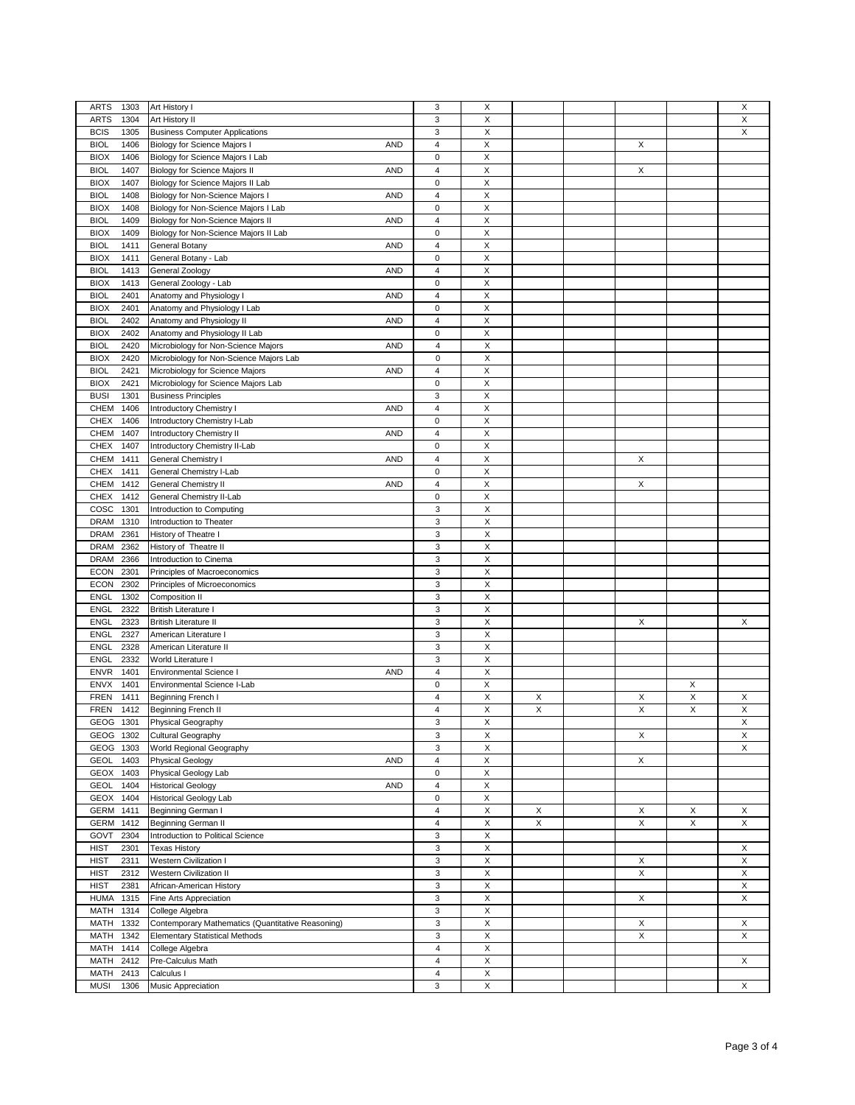| 3<br><b>ARTS</b><br>Art History I<br>X<br>1303<br>3<br>X<br>1304<br>Art History II<br><b>ARTS</b><br>3<br>X<br><b>BCIS</b><br>1305<br><b>Business Computer Applications</b> | X<br>Χ |
|-----------------------------------------------------------------------------------------------------------------------------------------------------------------------------|--------|
|                                                                                                                                                                             |        |
|                                                                                                                                                                             |        |
|                                                                                                                                                                             | X      |
| 4<br>X<br><b>BIOL</b><br>1406<br>Biology for Science Majors I<br>X<br>AND                                                                                                   |        |
| $\pmb{0}$<br>X<br><b>BIOX</b><br>1406<br>Biology for Science Majors I Lab                                                                                                   |        |
| 4<br>$\mathsf X$<br>X<br><b>BIOL</b><br>1407<br>Biology for Science Majors II<br><b>AND</b>                                                                                 |        |
|                                                                                                                                                                             |        |
| $\mathsf 0$<br>X<br><b>BIOX</b><br>1407<br>Biology for Science Majors II Lab                                                                                                |        |
| 4<br>$\mathsf X$<br><b>BIOL</b><br>1408<br>Biology for Non-Science Majors I<br><b>AND</b>                                                                                   |        |
| $\mathsf 0$<br>X<br><b>BIOX</b><br>1408<br>Biology for Non-Science Majors I Lab                                                                                             |        |
| 4<br>$\mathsf X$<br><b>BIOL</b><br>1409<br>Biology for Non-Science Majors II<br><b>AND</b>                                                                                  |        |
|                                                                                                                                                                             |        |
| 0<br>X<br><b>BIOX</b><br>1409<br>Biology for Non-Science Majors II Lab                                                                                                      |        |
| 4<br>$\mathsf X$<br><b>BIOL</b><br>1411<br><b>AND</b><br>General Botany                                                                                                     |        |
| 0<br>X<br><b>BIOX</b><br>1411<br>General Botany - Lab                                                                                                                       |        |
| 4<br>X<br><b>BIOL</b><br>1413<br>General Zoology<br><b>AND</b>                                                                                                              |        |
|                                                                                                                                                                             |        |
| General Zoology - Lab<br><b>BIOX</b><br>1413<br>0<br>X                                                                                                                      |        |
| 4<br>X<br><b>BIOL</b><br>2401<br>Anatomy and Physiology I<br><b>AND</b>                                                                                                     |        |
| <b>BIOX</b><br>2401<br>Anatomy and Physiology I Lab<br>0<br>X                                                                                                               |        |
| 4<br>X<br><b>BIOL</b><br>2402<br>Anatomy and Physiology II<br>AND                                                                                                           |        |
| <b>BIOX</b><br>2402<br>Anatomy and Physiology II Lab<br>0<br>X                                                                                                              |        |
|                                                                                                                                                                             |        |
| 4<br>X<br><b>BIOL</b><br>2420<br>Microbiology for Non-Science Majors<br><b>AND</b>                                                                                          |        |
| X<br><b>BIOX</b><br>2420<br>Microbiology for Non-Science Majors Lab<br>0                                                                                                    |        |
| 4<br>X<br><b>BIOL</b><br>2421<br>Microbiology for Science Majors<br>AND                                                                                                     |        |
| <b>BIOX</b><br>2421<br>Microbiology for Science Majors Lab<br>0<br>X                                                                                                        |        |
|                                                                                                                                                                             |        |
| 3<br>X<br><b>BUSI</b><br>1301<br><b>Business Principles</b>                                                                                                                 |        |
| CHEM<br>1406<br>Introductory Chemistry I<br><b>AND</b><br>4<br>X                                                                                                            |        |
| $\mathsf 0$<br>X<br><b>CHEX</b><br>1406<br>Introductory Chemistry I-Lab                                                                                                     |        |
| CHEM<br>1407<br>Introductory Chemistry II<br><b>AND</b><br>4<br>X                                                                                                           |        |
|                                                                                                                                                                             |        |
| $\pmb{0}$<br>X<br><b>CHEX</b><br>1407<br>Introductory Chemistry II-Lab                                                                                                      |        |
| CHEM<br>1411<br>General Chemistry I<br><b>AND</b><br>4<br>X<br>X                                                                                                            |        |
| 0<br>X<br><b>CHEX</b><br>1411<br>General Chemistry I-Lab                                                                                                                    |        |
| CHEM<br>1412<br><b>General Chemistry II</b><br><b>AND</b><br>4<br>X<br>X                                                                                                    |        |
|                                                                                                                                                                             |        |
| 0<br>X<br><b>CHEX</b><br>1412<br>General Chemistry II-Lab                                                                                                                   |        |
| COSC<br>1301<br>Introduction to Computing<br>3<br>X                                                                                                                         |        |
| 3<br>X<br><b>DRAM</b><br>1310<br>Introduction to Theater                                                                                                                    |        |
| X<br><b>DRAM</b><br>2361<br>History of Theatre I<br>3                                                                                                                       |        |
|                                                                                                                                                                             |        |
| 3<br>X<br><b>DRAM</b><br>2362<br>History of Theatre II                                                                                                                      |        |
| <b>DRAM</b><br>2366<br>Introduction to Cinema<br>3<br>X                                                                                                                     |        |
| 3<br>X<br><b>ECON</b><br>2301<br>Principles of Macroeconomics                                                                                                               |        |
| X<br><b>ECON</b><br>2302<br>Principles of Microeconomics<br>3                                                                                                               |        |
|                                                                                                                                                                             |        |
| 3<br>X<br><b>ENGL</b><br>1302<br>Composition II                                                                                                                             |        |
| 3<br>X<br><b>ENGL</b><br>2322<br><b>British Literature I</b>                                                                                                                |        |
| 3<br>X<br>X<br><b>ENGL</b><br>2323<br><b>British Literature II</b>                                                                                                          | Χ      |
| 3<br>X<br><b>ENGL</b><br>2327<br>American Literature                                                                                                                        |        |
|                                                                                                                                                                             |        |
| 3<br>X<br><b>ENGL</b><br>2328<br>American Literature II                                                                                                                     |        |
| 3<br>X<br><b>ENGL</b><br>2332<br>World Literature I                                                                                                                         |        |
| $\overline{\mathbf{4}}$<br>X<br><b>ENVR</b><br>1401<br><b>AND</b><br><b>Environmental Science I</b>                                                                         |        |
| X<br><b>ENVX</b><br>1401<br>Environmental Science I-Lab<br>0                                                                                                                | Χ      |
|                                                                                                                                                                             |        |
| Χ<br><b>FREN</b><br>1411<br>4<br>X<br>X<br>Beginning French I                                                                                                               | Χ<br>Χ |
| $\mathsf X$<br>X<br>X<br><b>FREN</b><br>1412<br>Beginning French II<br>4                                                                                                    | X<br>Χ |
| X<br>GEOG 1301<br>Physical Geography<br>3                                                                                                                                   | X      |
| 3<br>Χ<br>Cultural Geography<br>X<br>GEOG 1302                                                                                                                              | X      |
| 3<br>X<br>World Regional Geography                                                                                                                                          | X      |
| GEOG 1303                                                                                                                                                                   |        |
| <b>GEOL</b><br><b>Physical Geology</b><br>X<br>X<br>1403<br><b>AND</b><br>4                                                                                                 |        |
| X<br>GEOX<br>1403<br>Physical Geology Lab<br>0                                                                                                                              |        |
| <b>Historical Geology</b><br>X<br>GEOL<br>1404<br><b>AND</b><br>4                                                                                                           |        |
|                                                                                                                                                                             |        |
| X<br>GEOX<br>1404<br><b>Historical Geology Lab</b><br>0                                                                                                                     |        |
| Χ<br>GERM<br>1411<br>Beginning German I<br>4<br>X<br>Χ                                                                                                                      | Χ<br>X |
| $\mathsf X$<br>$\mathsf X$<br>X<br>4<br>GERM<br>1412<br>Beginning German II                                                                                                 | X<br>Χ |
| X<br>GOVT<br>2304<br>Introduction to Political Science<br>3                                                                                                                 |        |
| $\mathsf X$                                                                                                                                                                 |        |
| <b>HIST</b><br>3<br>2301<br><b>Texas History</b>                                                                                                                            | X      |
| <b>HIST</b><br>Western Civilization I<br>3<br>X<br>2311<br>X                                                                                                                | X      |
| $\mathsf X$<br>X<br>3<br><b>HIST</b><br>2312<br><b>Western Civilization II</b>                                                                                              | Χ      |
| <b>HIST</b><br>African-American History<br>3<br>X<br>2381                                                                                                                   | X      |
| $\mathsf X$                                                                                                                                                                 | X      |
| 3<br>X<br><b>HUMA</b><br>1315<br>Fine Arts Appreciation                                                                                                                     |        |
| MATH<br>1314<br>College Algebra<br>3<br>X                                                                                                                                   |        |
| $\mathsf X$<br>3<br>MATH<br>1332<br>Contemporary Mathematics (Quantitative Reasoning)<br>X                                                                                  | X      |
| <b>Elementary Statistical Methods</b><br>3<br>X<br>X<br>MATH<br>1342                                                                                                        | Χ      |
| X<br>MATH<br>1414<br>College Algebra<br>4                                                                                                                                   |        |
|                                                                                                                                                                             |        |
|                                                                                                                                                                             |        |
| Pre-Calculus Math<br>Χ<br>MATH<br>2412<br>4                                                                                                                                 | X      |
| $\boldsymbol{\mathsf{X}}$<br>Calculus I<br>MATH<br>2413<br>4                                                                                                                |        |